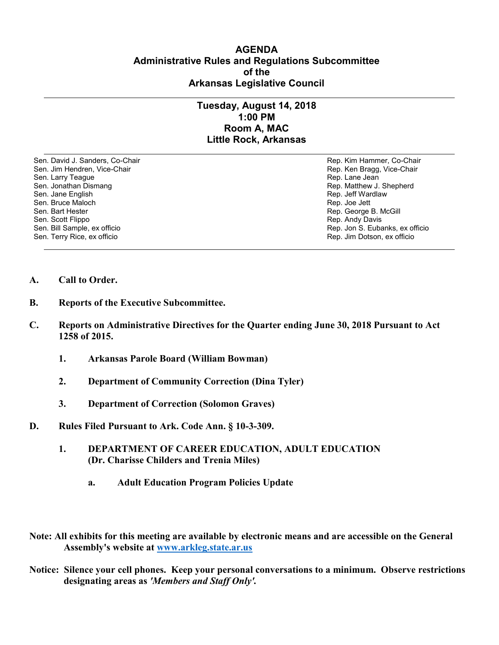## **AGENDA Administrative Rules and Regulations Subcommittee of the Arkansas Legislative Council**

## **Tuesday, August 14, 2018 1:00 PM Room A, MAC Little Rock, Arkansas**

Sen. David J. Sanders, Co-Chair Rep. Kim Hammer, Co-Chair Sen. Jim Hendren, Vice-Chair **Rep. Accords** Sen. Jim Hendren, Vice-Chair Sen. Larry Teague Rep. Lane Jean Controller and Sen. Lane Jean Controller and Sen. Lane Jean Controller and Se<br>Sen. Jonathan Dismang Rep. Matthew J. Sen. Jane English Rep. Jeff Wardlaw Sen. Bruce Maloch Rep. Joe Jett (1999) Sen. Bruce Maloch Rep. Joe Jett (1999) Sen. Bruce Maloch Rep. Joe Jett<br>Sen. Bart Hester Sen. Bart Hester Rep. George B. McGill (Sen. Bart Hester Rep. George B. McGill (Sen. Scott Flippo) Sen. Scott Flippo Rep. Andy Davis Sen. Terry Rice, ex officio Rep. Jim Dotson, ex officio

Rep. Matthew J. Shepherd Rep. Jon S. Eubanks, ex officio

- **A. Call to Order.**
- **B. Reports of the Executive Subcommittee.**
- **C. Reports on Administrative Directives for the Quarter ending June 30, 2018 Pursuant to Act 1258 of 2015.**
	- **1. Arkansas Parole Board (William Bowman)**
	- **2. Department of Community Correction (Dina Tyler)**
	- **3. Department of Correction (Solomon Graves)**
- **D. Rules Filed Pursuant to Ark. Code Ann. § 10-3-309.**
	- **1. DEPARTMENT OF CAREER EDUCATION, ADULT EDUCATION (Dr. Charisse Childers and Trenia Miles)**
		- **a. Adult Education Program Policies Update**
- **Note: All exhibits for this meeting are available by electronic means and are accessible on the General Assembly's website at [www.arkleg.state.ar.us](http://www.arkleg.state.ar.us)**
- **Notice: Silence your cell phones. Keep your personal conversations to a minimum. Observe restrictions designating areas as** *'Members and Staff Only'.*